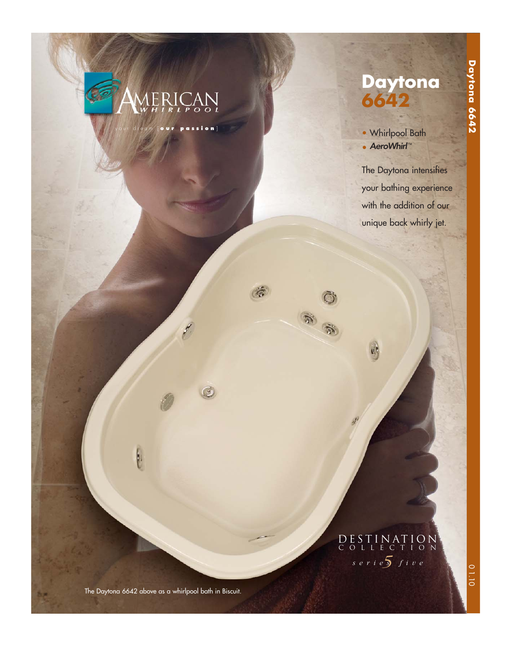

ion]

 $\tilde{a}$ 

 $\bigcirc$ 

**SEC** 



• Whirlpool Bath • AeroWhirl™

The Daytona intensifies your bathing experience with the addition of our unique back whirly jet.

### *5 series five* DESTINATION COLLECTION

The Daytona 6642 above as a whirlpool bath in Biscuit.